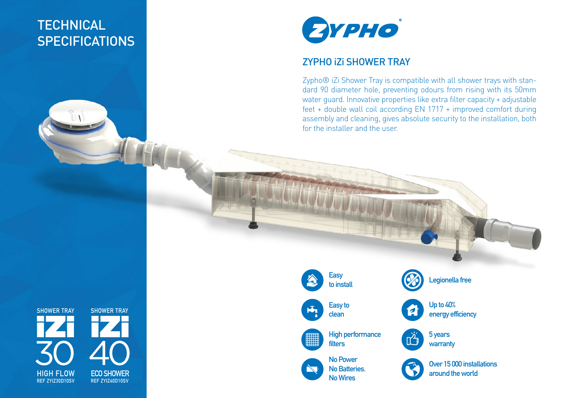## **TECHNICAL SPECIFICATIONS**



## ZYPHO iZi SHOWER TRAY

Zypho® iZi Shower Tray is compatible with all shower trays with standard 90 diameter hole, preventing odours from rising with its 50mm water guard. Innovative properties like extra filter capacity + adjustable feet + double wall coil according EN 1717 + improved comfort during assembly and cleaning, gives absolute security to the installation, both for the installer and the user.

**SHOWER TRAY ECO SHOWER REF ZYIZ40D10SV HIGH FLOW** 40 **REF ZYIZ30D10SV SHOWER TRAY** 30

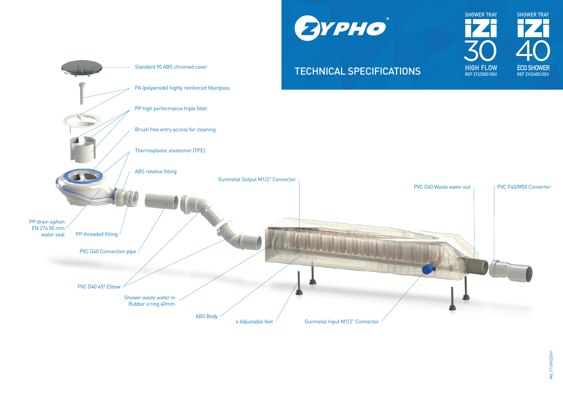